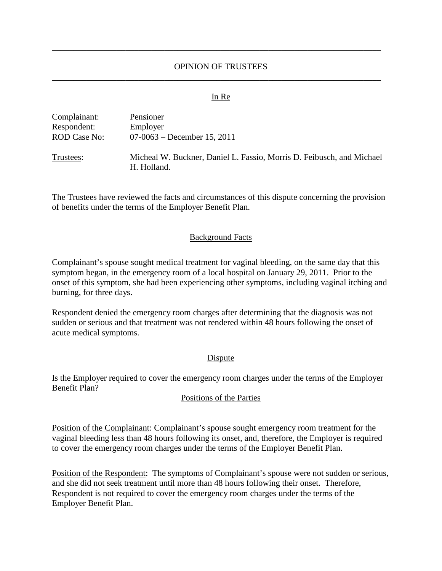# OPINION OF TRUSTEES \_\_\_\_\_\_\_\_\_\_\_\_\_\_\_\_\_\_\_\_\_\_\_\_\_\_\_\_\_\_\_\_\_\_\_\_\_\_\_\_\_\_\_\_\_\_\_\_\_\_\_\_\_\_\_\_\_\_\_\_\_\_\_\_\_\_\_\_\_\_\_\_\_\_\_\_

\_\_\_\_\_\_\_\_\_\_\_\_\_\_\_\_\_\_\_\_\_\_\_\_\_\_\_\_\_\_\_\_\_\_\_\_\_\_\_\_\_\_\_\_\_\_\_\_\_\_\_\_\_\_\_\_\_\_\_\_\_\_\_\_\_\_\_\_\_\_\_\_\_\_\_\_

#### In Re

| Complainant:        | Pensioner                                                                            |
|---------------------|--------------------------------------------------------------------------------------|
| Respondent:         | Employer                                                                             |
| <b>ROD Case No:</b> | $07-0063$ – December 15, 2011                                                        |
| Trustees:           | Micheal W. Buckner, Daniel L. Fassio, Morris D. Feibusch, and Michael<br>H. Holland. |

The Trustees have reviewed the facts and circumstances of this dispute concerning the provision of benefits under the terms of the Employer Benefit Plan.

### Background Facts

Complainant's spouse sought medical treatment for vaginal bleeding, on the same day that this symptom began, in the emergency room of a local hospital on January 29, 2011. Prior to the onset of this symptom, she had been experiencing other symptoms, including vaginal itching and burning, for three days.

Respondent denied the emergency room charges after determining that the diagnosis was not sudden or serious and that treatment was not rendered within 48 hours following the onset of acute medical symptoms.

# Dispute

Is the Employer required to cover the emergency room charges under the terms of the Employer Benefit Plan?

#### Positions of the Parties

Position of the Complainant: Complainant's spouse sought emergency room treatment for the vaginal bleeding less than 48 hours following its onset, and, therefore, the Employer is required to cover the emergency room charges under the terms of the Employer Benefit Plan.

Position of the Respondent: The symptoms of Complainant's spouse were not sudden or serious, and she did not seek treatment until more than 48 hours following their onset. Therefore, Respondent is not required to cover the emergency room charges under the terms of the Employer Benefit Plan.